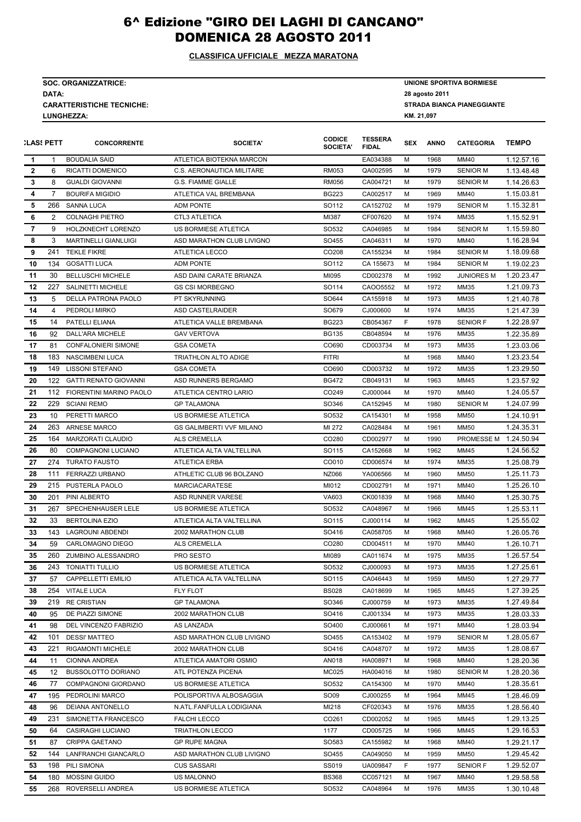## 6^ Edizione "GIRO DEI LAGHI DI CANCANO" DOMENICA 28 AGOSTO 2011

**CLASSIFICA UFFICIALE MEZZA MARATONA**

|                         | <b>SOC. ORGANIZZATRICE:</b> |                                                       |                                                  |                           |                                | UNIONE SPORTIVA BORMIESE                 |                |                         |                          |  |  |  |
|-------------------------|-----------------------------|-------------------------------------------------------|--------------------------------------------------|---------------------------|--------------------------------|------------------------------------------|----------------|-------------------------|--------------------------|--|--|--|
|                         | DATA:                       |                                                       |                                                  |                           |                                |                                          | 28 agosto 2011 |                         |                          |  |  |  |
|                         |                             | <b>CARATTERISTICHE TECNICHE:</b><br><b>LUNGHEZZA:</b> |                                                  |                           |                                | STRADA BIANCA PIANEGGIANTE<br>KM. 21,097 |                |                         |                          |  |  |  |
|                         |                             |                                                       |                                                  |                           |                                |                                          |                |                         |                          |  |  |  |
|                         | <b>CLASS PETT</b>           | <b>CONCORRENTE</b>                                    | <b>SOCIETA'</b>                                  | <b>CODICE</b><br>SOCIETA' | <b>TESSERA</b><br><b>FIDAL</b> | <b>SEX</b>                               | <b>ANNO</b>    | <b>CATEGORIA</b>        | <b>TEMPO</b>             |  |  |  |
| 1                       | $\mathbf{1}$                | <b>BOUDALIA SAID</b>                                  | ATLETICA BIOTEKNA MARCON                         |                           | EA034388                       | М                                        | 1968           | MM40                    | 1.12.57.16               |  |  |  |
| $\overline{\mathbf{2}}$ | 6                           | RICATTI DOMENICO                                      | C.S. AERONAUTICA MILITARE                        | RM053                     | QA002595                       | M                                        | 1979           | <b>SENIOR M</b>         | 1.13.48.48               |  |  |  |
| 3                       | 8                           | <b>GUALDI GIOVANNI</b>                                | G.S. FIAMME GIALLE                               | <b>RM056</b>              | CA004721                       | M                                        | 1979           | <b>SENIOR M</b>         | 1.14.26.63               |  |  |  |
| 4                       | $\overline{7}$              | <b>BOURIFA MIGIDIO</b>                                | ATLETICA VAL BREMBANA                            | <b>BG223</b>              | CA002517                       | M                                        | 1969           | MM40                    | 1.15.03.81               |  |  |  |
| 5                       | 266                         | <b>SANNA LUCA</b>                                     | ADM PONTE                                        | SO112                     | CA152702                       | M                                        | 1979           | <b>SENIOR M</b>         | 1.15.32.81               |  |  |  |
| 6                       | 2                           | <b>COLNAGHI PIETRO</b>                                | CTL3 ATLETICA                                    | MI387                     | CF007620                       | M                                        | 1974           | MM35                    | 1.15.52.91               |  |  |  |
| $\overline{7}$<br>8     | 9<br>3                      | HOLZKNECHT LORENZO                                    | US BORMIESE ATLETICA                             | SO532                     | CA046985                       | M                                        | 1984           | <b>SENIOR M</b>         | 1.15.59.80               |  |  |  |
| 9                       | 241                         | <b>MARTINELLI GIANLUIGI</b><br><b>TEKLE FIKRE</b>     | ASD MARATHON CLUB LIVIGNO<br>ATLETICA LECCO      | SO455<br>CO208            | CA046311<br>CA155234           | M<br>M                                   | 1970<br>1984   | MM40<br><b>SENIOR M</b> | 1.16.28.94<br>1.18.09.68 |  |  |  |
| 10                      | 134                         | <b>GOSATTI LUCA</b>                                   | <b>ADM PONTE</b>                                 | SO112                     | CA 155673                      | M                                        | 1984           | <b>SENIOR M</b>         | 1.19.02.23               |  |  |  |
| 11                      | 30                          | <b>BELLUSCHI MICHELE</b>                              | ASD DAINI CARATE BRIANZA                         | MI095                     | CD002378                       | м                                        | 1992           | <b>JUNIORES M</b>       | 1.20.23.47               |  |  |  |
| 12                      | 227                         | <b>SALINETTI MICHELE</b>                              | <b>GS CSI MORBEGNO</b>                           | SO114                     | CAOO5552                       | м                                        | 1972           | MM35                    | 1.21.09.73               |  |  |  |
| 13                      | 5                           | <b>DELLA PATRONA PAOLO</b>                            | PT SKYRUNNING                                    | SO644                     | CA155918                       | М                                        | 1973           | MM35                    | 1.21.40.78               |  |  |  |
| 14                      | 4                           | PEDROLI MIRKO                                         | ASD CASTELRAIDER                                 | SO679                     | CJ000600                       | М                                        | 1974           | MM35                    | 1.21.47.39               |  |  |  |
| 15                      | 14                          | PATELLI ELIANA                                        | ATLETICA VALLE BREMBANA                          | <b>BG223</b>              | CB054367                       | F.                                       | 1978           | <b>SENIOR F</b>         | 1.22.28.97               |  |  |  |
| 16                      | 92                          | DALL'ARA MICHELE                                      | <b>GAV VERTOVA</b>                               | <b>BG135</b>              | CB048594                       | М                                        | 1976           | MM35                    | 1.22.35.89               |  |  |  |
| 17                      | 81                          | CONFALONIERI SIMONE                                   | <b>GSA COMETA</b>                                | CO690                     | CD003734                       | М                                        | 1973           | MM35                    | 1.23.03.06               |  |  |  |
| 18                      |                             | 183 NASCIMBENI LUCA                                   | <b>TRIATHLON ALTO ADIGE</b>                      | <b>FITRI</b>              |                                | M                                        | 1968           | MM40                    | 1.23.23.54               |  |  |  |
| 19                      |                             | 149 LISSONI STEFANO                                   | <b>GSA COMETA</b>                                | CO690                     | CD003732                       | м                                        | 1972           | MM35                    | 1.23.29.50               |  |  |  |
| 20                      |                             | 122 GATTI RENATO GIOVANNI                             | ASD RUNNERS BERGAMO                              | <b>BG472</b>              | CB049131                       | M                                        | 1963           | MM45                    | 1.23.57.92               |  |  |  |
| 21                      |                             | 112 FIORENTINI MARINO PAOLO                           | ATLETICA CENTRO LARIO                            | CO249                     | CJ000044                       | М                                        | 1970           | MM40                    | 1.24.05.57               |  |  |  |
| 22                      |                             | 229 SCIANI REMO                                       | <b>GP TALAMONA</b>                               | SO346                     | CA152945                       | м                                        | 1980           | <b>SENIOR M</b>         | 1.24.07.99               |  |  |  |
| 23                      | 10                          | PERETTI MARCO                                         | US BORMIESE ATLETICA                             | SO532                     | CA154301                       | M                                        | 1958           | <b>MM50</b>             | 1.24.10.91               |  |  |  |
| 24                      | 263                         | <b>ARNESE MARCO</b>                                   | <b>GS GALIMBERTI VVF MILANO</b>                  | MI 272                    | CA028484                       | M                                        | 1961           | <b>MM50</b>             | 1.24.35.31               |  |  |  |
| 25                      | 164                         | MARZORATI CLAUDIO                                     | ALS CREMELLA                                     | CO280                     | CD002977                       | м                                        | 1990           | PROMESSE M 1.24.50.94   |                          |  |  |  |
| 26<br>27                | 80                          | COMPAGNONI LUCIANO<br>274 TURATO FAUSTO               | ATLETICA ALTA VALTELLINA<br><b>ATLETICA ERBA</b> | SO115<br>CO010            | CA152668<br>CD006574           | м<br>м                                   | 1962<br>1974   | MM45<br>MM35            | 1.24.56.52<br>1.25.08.79 |  |  |  |
| 28                      | 111                         | FERRAZZI URBANO                                       | ATHLETIC CLUB 96 BOLZANO                         | NZ066                     | YA006566                       | м                                        | 1960           | <b>MM50</b>             | 1.25.11.73               |  |  |  |
| 29                      |                             | 215 PUSTERLA PAOLO                                    | <b>MARCIACARATESE</b>                            | MI012                     | CD002791                       | м                                        | 1971           | MM40                    | 1.25.26.10               |  |  |  |
| 30                      | 201                         | PINI ALBERTO                                          | ASD RUNNER VARESE                                | VA603                     | CK001839                       | M                                        | 1968           | MM40                    | 1.25.30.75               |  |  |  |
| 31                      | 267                         | SPECHENHAUSER LELE                                    | US BORMIESE ATLETICA                             | SO532                     | CA048967                       | M                                        | 1966           | MM45                    | 1.25.53.11               |  |  |  |
| 32                      | 33                          | <b>BERTOLINA EZIO</b>                                 | ATLETICA ALTA VALTELLINA                         | SO <sub>115</sub>         | CJ000114                       | м                                        | 1962           | MM45                    | 1.25.55.02               |  |  |  |
| 33                      | 143                         | LAGROUNI ABDENDI                                      | 2002 MARATHON CLUB                               | SO416                     | CA058705                       | M                                        | 1968           | MM40                    | 1.26.05.76               |  |  |  |
| 34                      | 59                          | CARLOMAGNO DIEGO                                      | ALS CREMELLA                                     | CO280                     | CD004511                       | M                                        | 1970           | MM40                    | 1.26.10.71               |  |  |  |
| 35                      |                             | 260 ZUMBINO ALESSANDRO                                | PRO SESTO                                        | MI089                     | CA011674                       | M                                        | 1975           | MM35                    | 1.26.57.54               |  |  |  |
| 36                      |                             | 243 TONIATTI TULLIO                                   | US BORMIESE ATLETICA                             | SO532                     | CJ000093                       | M                                        | 1973           | MM35                    | 1.27.25.61               |  |  |  |
| 37                      | 57                          | CAPPELLETTI EMILIO                                    | ATLETICA ALTA VALTELLINA                         | SO115                     | CA046443                       | M                                        | 1959           | MM50                    | 1.27.29.77               |  |  |  |
| 38                      |                             | 254 VITALE LUCA                                       | <b>FLY FLOT</b>                                  | <b>BS028</b>              | CA018699                       | M                                        | 1965           | MM45                    | 1.27.39.25               |  |  |  |
| 39                      |                             | 219 RE CRISTIAN                                       | <b>GP TALAMONA</b>                               | SO346                     | CJ000759                       | M                                        | 1973           | MM35                    | 1.27.49.84               |  |  |  |
| 40                      | 95                          | DE PIAZZI SIMONE                                      | 2002 MARATHON CLUB                               | SO416                     | CJ001334                       | M                                        | 1973           | MM35                    | 1.28.03.33               |  |  |  |
| 41                      | 98                          | DEL VINCENZO FABRIZIO                                 | AS LANZADA                                       | SO400                     | CJ000661                       | M                                        | 1971           | MM40                    | 1.28.03.94               |  |  |  |
| 42                      | 101                         | <b>DESSI' MATTEO</b>                                  | ASD MARATHON CLUB LIVIGNO                        | SO455                     | CA153402                       | M                                        | 1979           | <b>SENIOR M</b>         | 1.28.05.67               |  |  |  |
| 43                      | 221                         | RIGAMONTI MICHELE                                     | 2002 MARATHON CLUB                               | SO416                     | CA048707                       | M                                        | 1972           | <b>MM35</b>             | 1.28.08.67               |  |  |  |
| 44                      | 11                          | <b>CIONNA ANDREA</b>                                  | ATLETICA AMATORI OSMIO                           | AN018                     | HA008971                       | M                                        | 1968           | MM40                    | 1.28.20.36               |  |  |  |
| 45                      | 12                          | <b>BUSSOLOTTO DORIANO</b>                             | ATL POTENZA PICENA                               | MC025                     | HA004016                       | M                                        | 1980           | <b>SENIOR M</b>         | 1.28.20.36               |  |  |  |
| 46<br>47                | 77                          | <b>COMPAGNONI GIORDANO</b>                            | US BORMIESE ATLETICA<br>POLISPORTIVA ALBOSAGGIA  | SO532<br>SO09             | CA154300                       | M<br>M                                   | 1970<br>1964   | MM40<br>MM45            | 1.28.35.61               |  |  |  |
| 48                      | 195<br>96                   | PEDROLINI MARCO<br>DEIANA ANTONELLO                   | N.ATL.FANFULLA LODIGIANA                         | MI218                     | CJ000255<br>CF020343           | M                                        | 1976           | MM35                    | 1.28.46.09<br>1.28.56.40 |  |  |  |
| 49                      | 231                         | SIMONETTA FRANCESCO                                   | <b>FALCHI LECCO</b>                              | CO261                     | CD002052                       | M                                        | 1965           | MM45                    | 1.29.13.25               |  |  |  |
| 50                      | 64                          | CASIRAGHI LUCIANO                                     | <b>TRIATHLON LECCO</b>                           | 1177                      | CD005725                       | M                                        | 1966           | MM45                    | 1.29.16.53               |  |  |  |
| 51                      | 87                          | <b>CRIPPA GAETANO</b>                                 | <b>GP RUPE MAGNA</b>                             | SO583                     | CA155982                       | M                                        | 1968           | MM40                    | 1.29.21.17               |  |  |  |
| 52                      | 144                         | LANFRANCHI GIANCARLO                                  | ASD MARATHON CLUB LIVIGNO                        | SO455                     | CA049050                       | M                                        | 1959           | <b>MM50</b>             | 1.29.45.42               |  |  |  |
| 53                      |                             | 198 PILI SIMONA                                       | <b>CUS SASSARI</b>                               | SS019                     | UA009847                       | F                                        | 1977           | <b>SENIOR F</b>         | 1.29.52.07               |  |  |  |
| 54                      |                             | 180 MOSSINI GUIDO                                     | US MALONNO                                       | <b>BS368</b>              | CC057121                       | M                                        | 1967           | MM40                    | 1.29.58.58               |  |  |  |

268 ROVERSELLI ANDREA US BORMIESE ATLETICA SO532 CA048964 M 1976 MM35 1.30.10.48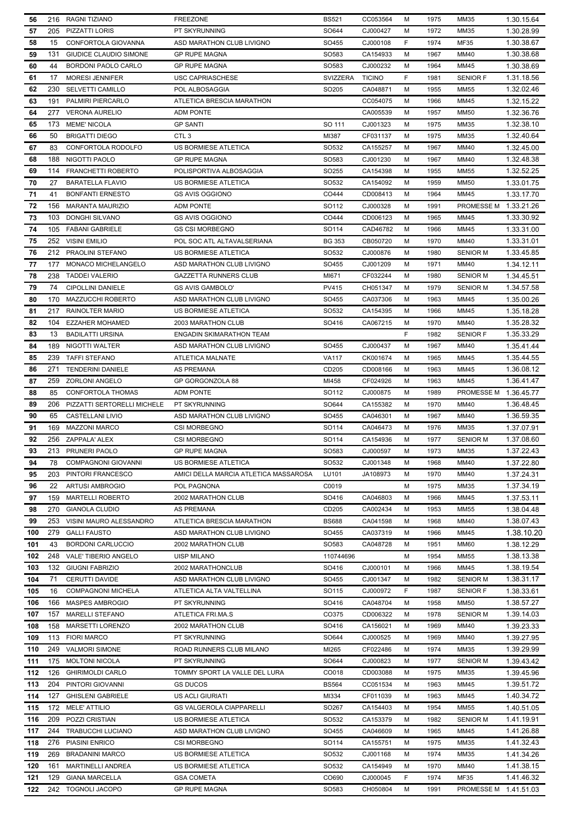| 56  | 216 | <b>RAGNI TIZIANO</b>        | <b>FREEZONE</b>                       | <b>BS521</b>  | CC053564      | м  | 1975 | <b>MM35</b>           | 1.30.15.64 |
|-----|-----|-----------------------------|---------------------------------------|---------------|---------------|----|------|-----------------------|------------|
| 57  | 205 | PIZZATTI LORIS              | PT SKYRUNNING                         | SO644         | CJ000427      | м  | 1972 | <b>MM35</b>           | 1.30.28.99 |
| 58  | 15  | CONFORTOLA GIOVANNA         | ASD MARATHON CLUB LIVIGNO             | SO455         | CJ000108      | F  | 1974 | <b>MF35</b>           | 1.30.38.67 |
| 59  | 131 | GIUDICE CLAUDIO SIMONE      | <b>GP RUPE MAGNA</b>                  | SO583         | CA154933      | M  | 1967 | MM40                  | 1.30.38.68 |
| 60  | 44  | <b>BORDONI PAOLO CARLO</b>  | <b>GP RUPE MAGNA</b>                  | SO583         | CJ000232      | м  | 1964 | MM45                  | 1.30.38.69 |
| 61  | 17  | <b>MORESI JENNIFER</b>      | USC CAPRIASCHESE                      | SVIZZERA      | <b>TICINO</b> | F  | 1981 | <b>SENIOR F</b>       | 1.31.18.56 |
| 62  | 230 | SELVETTI CAMILLO            | POL ALBOSAGGIA                        | SO205         | CA048871      | м  | 1955 | <b>MM55</b>           | 1.32.02.46 |
| 63  | 191 | PALMIRI PIERCARLO           | ATLETICA BRESCIA MARATHON             |               | CC054075      | М  | 1966 | MM45                  | 1.32.15.22 |
| 64  | 277 | <b>VERONA AURELIO</b>       | <b>ADM PONTE</b>                      |               | CA005539      | М  | 1957 | <b>MM50</b>           | 1.32.36.76 |
|     | 173 | <b>MEME' NICOLA</b>         | <b>GP SANTI</b>                       | SO 111        | CJ001323      | м  | 1975 | MM35                  |            |
| 65  |     |                             |                                       |               |               |    |      |                       | 1.32.38.10 |
| 66  | 50  | <b>BRIGATTI DIEGO</b>       | CTL <sub>3</sub>                      | MI387         | CF031137      | M  | 1975 | MM35                  | 1.32.40.64 |
| 67  | 83  | CONFORTOLA RODOLFO          | <b>US BORMIESE ATLETICA</b>           | SO532         | CA155257      | м  | 1967 | MM40                  | 1.32.45.00 |
| 68  | 188 | NIGOTTI PAOLO               | <b>GP RUPE MAGNA</b>                  | SO583         | CJ001230      | М  | 1967 | MM40                  | 1.32.48.38 |
| 69  | 114 | <b>FRANCHETTI ROBERTO</b>   | POLISPORTIVA ALBOSAGGIA               | SO255         | CA154398      | м  | 1955 | <b>MM55</b>           | 1.32.52.25 |
| 70  | 27  | <b>BARATELLA FLAVIO</b>     | US BORMIESE ATLETICA                  | SO532         | CA154092      | м  | 1959 | <b>MM50</b>           | 1.33.01.75 |
| 71  | 41  | <b>BONFANTI ERNESTO</b>     | <b>GS AVIS OGGIONO</b>                | CO444         | CD008413      | м  | 1964 | MM45                  | 1.33.17.70 |
| 72  | 156 | <b>MARANTA MAURIZIO</b>     | <b>ADM PONTE</b>                      | SO112         | CJ000328      | м  | 1991 | PROMESSE M 1.33.21.26 |            |
| 73  | 103 | DONGHI SILVANO              | <b>GS AVIS OGGIONO</b>                | CO444         | CD006123      | м  | 1965 | MM45                  | 1.33.30.92 |
| 74  | 105 | <b>FABANI GABRIELE</b>      | <b>GS CSI MORBEGNO</b>                | SO114         | CAD46782      | м  | 1966 | MM45                  | 1.33.31.00 |
| 75  | 252 | <b>VISINI EMILIO</b>        | POL SOC ATL ALTAVALSERIANA            | <b>BG 353</b> | CB050720      | м  | 1970 | MM40                  | 1.33.31.01 |
| 76  | 212 | PRAOLINI STEFANO            | US BORMIESE ATLETICA                  | SO532         | CJ000876      | м  | 1980 | <b>SENIOR M</b>       | 1.33.45.85 |
| 77  | 177 | MONACO MICHELANGELO         | ASD MARATHON CLUB LIVIGNO             | SO455         | CJ001209      | м  | 1971 | MM40                  | 1.34.12.11 |
| 78  | 238 | <b>TADDEI VALERIO</b>       | <b>GAZZETTA RUNNERS CLUB</b>          | MI671         | CF032244      | м  | 1980 | <b>SENIOR M</b>       | 1.34.45.51 |
|     | 74  | <b>CIPOLLINI DANIELE</b>    |                                       |               |               |    |      |                       |            |
| 79  |     |                             | <b>GS AVIS GAMBOLO'</b>               | <b>PV415</b>  | CH051347      | м  | 1979 | <b>SENIOR M</b>       | 1.34.57.58 |
| 80  | 170 | MAZZUCCHI ROBERTO           | ASD MARATHON CLUB LIVIGNO             | SO455         | CA037306      | м  | 1963 | MM45                  | 1.35.00.26 |
| 81  | 217 | RAINOLTER MARIO             | US BORMIESE ATLETICA                  | SO532         | CA154395      | м  | 1966 | MM45                  | 1.35.18.28 |
| 82  | 104 | EZZAHER MOHAMED             | 2003 MARATHON CLUB                    | SO416         | CA067215      | м  | 1970 | MM40                  | 1.35.28.32 |
| 83  | 13  | <b>BADILATTI URSINA</b>     | ENGADIN SKIMARATHON TEAM              |               |               | F  | 1982 | <b>SENIOR F</b>       | 1.35.33.29 |
| 84  | 189 | NIGOTTI WALTER              | ASD MARATHON CLUB LIVIGNO             | SO455         | CJ000437      | м  | 1967 | MM40                  | 1.35.41.44 |
| 85  | 239 | <b>TAFFI STEFANO</b>        | <b>ATLETICA MALNATE</b>               | <b>VA117</b>  | CK001674      | м  | 1965 | MM45                  | 1.35.44.55 |
| 86  | 271 | <b>TENDERINI DANIELE</b>    | AS PREMANA                            | CD205         | CD008166      | м  | 1963 | MM45                  | 1.36.08.12 |
| 87  | 259 | <b>ZORLONI ANGELO</b>       | GP GORGONZOLA 88                      | MI458         | CF024926      | м  | 1963 | MM45                  | 1.36.41.47 |
| 88  | 85  | CONFORTOLA THOMAS           | <b>ADM PONTE</b>                      | SO112         | CJ000875      | м  | 1989 | PROMESSE M 1.36.45.77 |            |
| 89  | 206 | PIZZATTI SERTORELLI MICHELE | PT SKYRUNNING                         | SO644         | CA155382      | м  | 1970 | MM40                  | 1.36.48.45 |
| 90  | 65  | <b>CASTELLANI LIVIO</b>     | ASD MARATHON CLUB LIVIGNO             | SO455         | CA046301      | м  | 1967 | MM40                  | 1.36.59.35 |
| 91  | 169 | <b>MAZZONI MARCO</b>        | <b>CSI MORBEGNO</b>                   | SO114         | CA046473      | м  | 1976 | MM35                  | 1.37.07.91 |
| 92  |     | 256 ZAPPALA' ALEX           | <b>CSI MORBEGNO</b>                   | SO114         | CA154936      | М  | 1977 | <b>SENIOR M</b>       | 1.37.08.60 |
| 93  |     | 213 PRUNERI PAOLO           | GP RUPE MAGNA                         | SO583         | CJ000597      | М  | 1973 | MM35                  | 1.37.22.43 |
| 94  | 78  | <b>COMPAGNONI GIOVANNI</b>  | US BORMIESE ATLETICA                  | SO532         | CJ001348      | м  | 1968 | MM40                  | 1.37.22.80 |
|     |     |                             |                                       |               | JA108973      |    |      |                       |            |
| 95  | 203 | PINTORI FRANCESCO           | AMICI DELLA MARCIA ATLETICA MASSAROSA | LU101         |               | М  | 1970 | MM40                  | 1.37.24.31 |
| 96  | 22  | ARTUSI AMBROGIO             | POL PAGNONA                           | C0019         |               | М  | 1975 | MM35                  | 1.37.34.19 |
| 97  | 159 | <b>MARTELLI ROBERTO</b>     | 2002 MARATHON CLUB                    | SO416         | CA046803      | м  | 1966 | MM45                  | 1.37.53.11 |
| 98  | 270 | <b>GIANOLA CLUDIO</b>       | AS PREMANA                            | CD205         | CA002434      | М  | 1953 | <b>MM55</b>           | 1.38.04.48 |
| 99  | 253 | VISINI MAURO ALESSANDRO     | ATLETICA BRESCIA MARATHON             | <b>BS688</b>  | CA041598      | М  | 1968 | MM40                  | 1.38.07.43 |
| 100 | 279 | <b>GALLI FAUSTO</b>         | ASD MARATHON CLUB LIVIGNO             | SO455         | CA037319      | М  | 1966 | <b>MM45</b>           | 1.38.10.20 |
| 101 | 43  | <b>BORDONI CARLUCCIO</b>    | 2002 MARATHON CLUB                    | SO583         | CA048728      | М  | 1951 | <b>MM60</b>           | 1.38.12.29 |
| 102 | 248 | VALE' TIBERIO ANGELO        | UISP MILANO                           | 110744696     |               | М  | 1954 | <b>MM55</b>           | 1.38.13.38 |
| 103 | 132 | <b>GIUGNI FABRIZIO</b>      | 2002 MARATHONCLUB                     | SO416         | CJ000101      | М  | 1966 | MM45                  | 1.38.19.54 |
| 104 | 71  | CERUTTI DAVIDE              | ASD MARATHON CLUB LIVIGNO             | SO455         | CJ001347      | М  | 1982 | <b>SENIOR M</b>       | 1.38.31.17 |
| 105 | 16  | <b>COMPAGNONI MICHELA</b>   | ATLETICA ALTA VALTELLINA              | SO115         | CJ000972      | F  | 1987 | <b>SENIOR F</b>       | 1.38.33.61 |
| 106 | 166 | <b>MASPES AMBROGIO</b>      | PT SKYRUNNING                         | SO416         | CA048704      | М  | 1958 | <b>MM50</b>           | 1.38.57.27 |
| 107 | 157 | MARELLI STEFANO             | ATLETICA FRI.MA.S                     | CO375         | CD006322      | м  | 1978 | <b>SENIOR M</b>       | 1.39.14.03 |
| 108 | 158 | MARSETTI LORENZO            | 2002 MARATHON CLUB                    | SO416         | CA156021      | м  | 1969 | MM40                  | 1.39.23.33 |
| 109 | 113 | <b>FIORI MARCO</b>          | PT SKYRUNNING                         | SO644         | CJ000525      | м  | 1969 | MM40                  | 1.39.27.95 |
| 110 | 249 | <b>VALMORI SIMONE</b>       | ROAD RUNNERS CLUB MILANO              | MI265         | CF022486      | м  | 1974 | MM35                  | 1.39.29.99 |
| 111 | 175 | <b>MOLTONI NICOLA</b>       | PT SKYRUNNING                         | SO644         | CJ000823      | м  | 1977 | <b>SENIOR M</b>       | 1.39.43.42 |
| 112 | 126 | <b>GHIRIMOLDI CARLO</b>     | TOMMY SPORT LA VALLE DEL LURA         | CO018         | CD003088      | м  | 1975 | MM35                  | 1.39.45.96 |
|     |     |                             |                                       |               |               |    |      |                       |            |
| 113 | 204 | PINTORI GIOVANNI            | <b>GS DUCOS</b>                       | <b>BS564</b>  | CC051534      | М  | 1963 | MM45                  | 1.39.51.72 |
| 114 | 127 | <b>GHISLENI GABRIELE</b>    | US ACLI GIURIATI                      | MI334         | CF011039      | М  | 1963 | <b>MM45</b>           | 1.40.34.72 |
| 115 | 172 | MELE' ATTILIO               | <b>GS VALGEROLA CIAPPARELLI</b>       | SO267         | CA154403      | М  | 1954 | <b>MM55</b>           | 1.40.51.05 |
| 116 | 209 | POZZI CRISTIAN              | US BORMIESE ATLETICA                  | SO532         | CA153379      | М  | 1982 | <b>SENIOR M</b>       | 1.41.19.91 |
| 117 | 244 | TRABUCCHI LUCIANO           | ASD MARATHON CLUB LIVIGNO             | SO455         | CA046609      | М  | 1965 | MM45                  | 1.41.26.88 |
| 118 | 276 | PIASINI ENRICO              | CSI MORBEGNO                          | SO114         | CA155751      | М  | 1975 | MM35                  | 1.41.32.43 |
| 119 | 269 | <b>BRADANINI MARCO</b>      | US BORMIESE ATLETICA                  | SO532         | CJ001168      | М  | 1974 | MM35                  | 1.41.34.26 |
| 120 | 161 | MARTINELLI ANDREA           | US BORMIESE ATLETICA                  | SO532         | CA154949      | М  | 1970 | MM40                  | 1.41.38.15 |
| 121 | 129 | <b>GIANA MARCELLA</b>       | <b>GSA COMETA</b>                     | CO690         | CJ000045      | F. | 1974 | MF35                  | 1.41.46.32 |
|     |     | 242 TOGNOLI JACOPO          | <b>GP RUPE MAGNA</b>                  | SO583         | CH050804      | М  | 1991 | PROMESSE M 1.41.51.03 |            |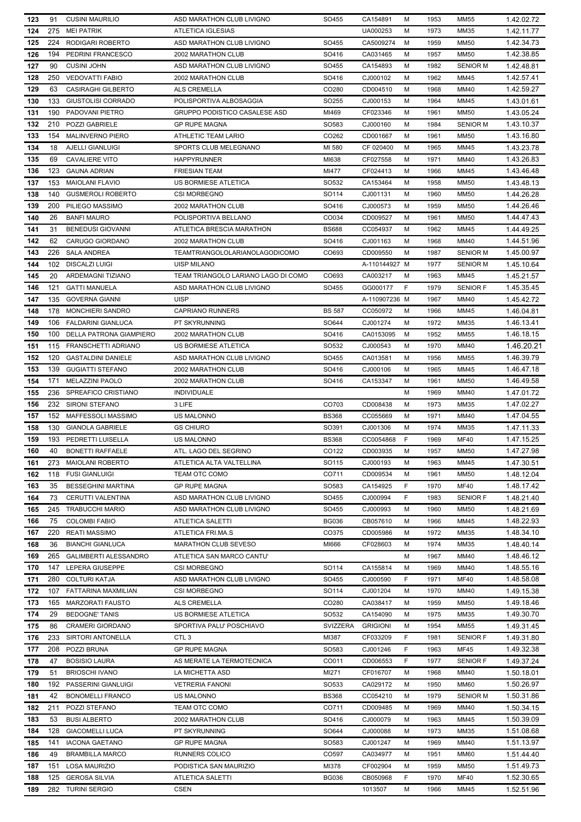| 123        | 91  | <b>CUSINI MAURILIO</b>                          | ASD MARATHON CLUB LIVIGNO                 | SO455          | CA154891             | м      | 1953         | <b>MM55</b>     | 1.42.02.72               |
|------------|-----|-------------------------------------------------|-------------------------------------------|----------------|----------------------|--------|--------------|-----------------|--------------------------|
| 124        | 275 | MEI PATRIK                                      | <b>ATLETICA IGLESIAS</b>                  |                | UA000253             | м      | 1973         | <b>MM35</b>     | 1.42.11.77               |
| 125        | 224 | RODIGARI ROBERTO                                | ASD MARATHON CLUB LIVIGNO                 | SO455          | CA5009274            | м      | 1959         | <b>MM50</b>     | 1.42.34.73               |
| 126        | 194 | PEDRINI FRANCESCO                               | 2002 MARATHON CLUB                        | SO416          | CA031465             | M      | 1957         | <b>MM50</b>     | 1.42.38.85               |
| 127        | 90  | <b>CUSINI JOHN</b>                              | ASD MARATHON CLUB LIVIGNO                 | SO455          | CA154893             | M      | 1982         | <b>SENIOR M</b> | 1.42.48.81               |
| 128        | 250 | <b>VEDOVATTI FABIO</b>                          | 2002 MARATHON CLUB                        | SO416          | CJ000102             | м      | 1962         | MM45            | 1.42.57.41               |
| 129        | 63  | <b>CASIRAGHI GILBERTO</b>                       | <b>ALS CREMELLA</b>                       | CO280          | CD004510             | м      | 1968         | MM40            | 1.42.59.27               |
| 130        | 133 | GIUSTOLISI CORRADO                              | POLISPORTIVA ALBOSAGGIA                   | SO255          | CJ000153             | M      | 1964         | MM45            | 1.43.01.61               |
| 131        | 190 | PADOVANI PIETRO                                 | GRUPPO PODISTICO CASALESE ASD             | MI469          | CF023346             | м      | 1961         | <b>MM50</b>     | 1.43.05.24               |
| 132        | 210 | <b>POZZI GABRIELE</b>                           | <b>GP RUPE MAGNA</b>                      | SO583          | CJ000160             | M      | 1984         | <b>SENIOR M</b> | 1.43.10.37               |
| 133        | 154 | <b>MALINVERNO PIERO</b>                         | ATHLETIC TEAM LARIO                       | CO262          | CD001667             | M      | 1961         | <b>MM50</b>     | 1.43.16.80               |
| 134        | 18  | AJELLI GIANLUIGI                                | SPORTS CLUB MELEGNANO                     | MI 580         | CF 020400            | м      | 1965         | MM45            | 1.43.23.78               |
| 135        | 69  | <b>CAVALIERE VITO</b>                           | <b>HAPPYRUNNER</b>                        | MI638          | CF027558             | м      | 1971         | MM40            | 1.43.26.83               |
| 136        | 123 | <b>GAUNA ADRIAN</b>                             | <b>FRIESIAN TEAM</b>                      | MI477          | CF024413             | м      | 1966         | MM45            | 1.43.46.48               |
| 137        | 153 | <b>MAIOLANI FLAVIO</b>                          | US BORMIESE ATLETICA                      | SO532          | CA153464             | м      | 1958         | <b>MM50</b>     | 1.43.48.13               |
| 138        | 140 | <b>GUSMEROLI ROBERTO</b>                        | <b>CSI MORBEGNO</b>                       | SO114          | CJ001131             | м      | 1960         | <b>MM50</b>     | 1.44.26.28               |
| 139        | 200 | PILIEGO MASSIMO                                 | 2002 MARATHON CLUB                        | SO416          | CJ000573             | м      | 1959         | <b>MM50</b>     | 1.44.26.46               |
| 140        | 26  | <b>BANFI MAURO</b>                              | POLISPORTIVA BELLANO                      | CO034          | CD009527             | м      | 1961         | <b>MM50</b>     | 1.44.47.43               |
| 141        | 31  | <b>BENEDUSI GIOVANNI</b>                        | ATLETICA BRESCIA MARATHON                 | <b>BS688</b>   | CC054937             | м      | 1962         | MM45            | 1.44.49.25               |
| 142        | 62  | CARUGO GIORDANO                                 | 2002 MARATHON CLUB                        | SO416          | CJ001163             | м      | 1968         | MM40            | 1.44.51.96               |
| 143        | 226 | SALA ANDREA                                     | TEAMTRIANGOLOLARIANOLAGODICOMO            | CO693          | CD009550             | м      | 1987         | <b>SENIOR M</b> | 1.45.00.97               |
| 144        | 102 | DISCALZI LUIGI                                  | <b>UISP MILANO</b>                        |                | A-110144927 M        |        | 1977         | <b>SENIOR M</b> | 1.45.10.64               |
| 145        | 20  | ARDEMAGNI TIZIANO                               | TEAM TRIANGOLO LARIANO LAGO DI COMO       | CO693          | CA003217             | м      | 1963         | MM45            | 1.45.21.57               |
| 146        | 121 | <b>GATTI MANUELA</b>                            | ASD MARATHON CLUB LIVIGNO                 | SO455          | GG000177             | F      | 1979         | <b>SENIOR F</b> | 1.45.35.45               |
| 147        | 135 | <b>GOVERNA GIANNI</b>                           | <b>UISP</b>                               |                | A-110907236 M        |        | 1967         | MM40            | 1.45.42.72               |
| 148        | 178 | <b>MONCHIERI SANDRO</b>                         | <b>CAPRIANO RUNNERS</b>                   | <b>BS 587</b>  | CC050972             | м      | 1966         | MM45            | 1.46.04.81               |
| 149        | 106 | FALDARINI GIANLUCA                              | PT SKYRUNNING                             | SO644          | CJ001274             | м      | 1972         | MM35            | 1.46.13.41               |
| 150        | 100 | DELLA PATRONA GIAMPIERO                         | 2002 MARATHON CLUB                        | SO416          | CA0153095            | м      | 1952         | <b>MM55</b>     | 1.46.18.15               |
| 151        | 115 | FRANSCHETTI ADRIANO                             | US BORMIESE ATLETICA                      | SO532          | CJ000543             | м      | 1970         | MM40            | 1.46.20.21               |
| 152        | 120 | <b>GASTALDINI DANIELE</b>                       | ASD MARATHON CLUB LIVIGNO                 | SO455          | CA013581             | м      | 1956         | <b>MM55</b>     | 1.46.39.79               |
| 153        | 139 | <b>GUGIATTI STEFANO</b>                         | 2002 MARATHON CLUB                        | SO416          | CJ000106             | м      | 1965         | MM45            | 1.46.47.18               |
| 154        | 171 | MELAZZINI PAOLO                                 | 2002 MARATHON CLUB                        | SO416          | CA153347             | м      | 1961         | <b>MM50</b>     | 1.46.49.58               |
| 155        | 236 | SPREAFICO CRISTIANO                             | <b>INDIVIDUALE</b>                        |                |                      | м      | 1969         | MM40            | 1.47.01.72               |
| 156        | 232 | SIRONI STEFANO                                  | 3 LIFE                                    | CO703          | CD008438             | м      | 1973         | MM35            | 1.47.02.27               |
| 157        | 152 | MAFFESSOLI MASSIMO                              | <b>US MALONNO</b>                         | <b>BS368</b>   | CC055669             | м      | 1971         | MM40            | 1.47.04.55               |
| 158        | 130 | <b>GIANOLA GABRIELE</b>                         | <b>GS CHIURO</b>                          | SO391          | CJ001306             | м      | 1974         | MM35            | 1.47.11.33               |
| 159        |     | 193 PEDRETTI LUISELLA                           | <b>US MALONNO</b>                         | <b>BS368</b>   | CC0054868            | F      | 1969         | <b>MF40</b>     | 1.47.15.25               |
| 160        | 40  | <b>BONETTI RAFFAELE</b>                         | ATL. LAGO DEL SEGRINO                     | CO122          | CD003935             | М      | 1957         | <b>MM50</b>     | 1.47.27.98               |
| 161        | 273 | <b>MAIOLANI ROBERTO</b>                         | ATLETICA ALTA VALTELLINA                  | SO115          | CJ000193             | м      | 1963         | MM45            | 1.47.30.51               |
| 162        | 118 | <b>FUSI GIANLUIGI</b>                           | TEAM OTC COMO                             | CO711          | CD009534             | м      | 1961         | <b>MM50</b>     | 1.48.12.04               |
| 163        | 35  | <b>BESSEGHINI MARTINA</b>                       | <b>GP RUPE MAGNA</b>                      | SO583          | CA154925             | F      | 1970         | <b>MF40</b>     | 1.48.17.42               |
| 164        | 73  | CERUTTI VALENTINA                               | ASD MARATHON CLUB LIVIGNO                 | SO455          | CJ000994             | F      | 1983         | <b>SENIOR F</b> | 1.48.21.40               |
| 165        | 245 | TRABUCCHI MARIO                                 | ASD MARATHON CLUB LIVIGNO                 | SO455          | CJ000993             | м      | 1960         | <b>MM50</b>     | 1.48.21.69               |
| 166        | 75  | <b>COLOMBI FABIO</b>                            | ATLETICA SALETTI                          | <b>BG036</b>   | CB057610             | м      | 1966         | <b>MM45</b>     | 1.48.22.93               |
| 167        | 220 | <b>REATI MASSIMO</b>                            | ATLETICA FRI.MA.S                         | CO375          | CD005986             | м      | 1972         | <b>MM35</b>     | 1.48.34.10               |
| 168        | 36  | <b>BIANCHI GIANLUCA</b>                         | <b>MARATHON CLUB SEVESO</b>               | MI666          | CF028603             | м      | 1974         | MM35            | 1.48.40.14               |
|            | 265 |                                                 | ATLETICA SAN MARCO CANTU'                 |                |                      |        |              |                 | 1.48.46.12               |
| 169<br>170 | 147 | <b>GALIMBERTI ALESSANDRO</b><br>LEPERA GIUSEPPE | <b>CSI MORBEGNO</b>                       |                |                      | м      | 1967         | MM40<br>MM40    | 1.48.55.16               |
| 171        | 280 |                                                 |                                           | SO114          | CA155814<br>CJ000590 | м<br>F | 1969         | <b>MF40</b>     | 1.48.58.08               |
|            | 107 | <b>COLTURI KATJA</b><br>FATTARINA MAXMILIAN     | ASD MARATHON CLUB LIVIGNO<br>CSI MORBEGNO | SO455<br>SO114 | CJ001204             | м      | 1971<br>1970 | <b>MM40</b>     |                          |
| 172<br>173 | 165 | <b>MARZORATI FAUSTO</b>                         | ALS CREMELLA                              | CO280          | CA038417             | м      | 1959         | <b>MM50</b>     | 1.49.15.38<br>1.49.18.46 |
| 174        | 29  | <b>BEDOGNE' TANIS</b>                           | US BORMIESE ATLETICA                      | SO532          | CA154090             | M      | 1975         | MM35            | 1.49.30.70               |
|            |     |                                                 |                                           | SVIZZERA       |                      |        |              |                 |                          |
| 175        | 86  | CRAMERI GIORDANO                                | SPORTIVA PALU' POSCHIAVO                  |                | <b>GRIGIONI</b>      | M      | 1954         | MM55            | 1.49.31.45               |
| 176        | 233 | SIRTORI ANTONELLA                               | CTL <sub>3</sub>                          | MI387          | CF033209             | F      | 1981         | <b>SENIOR F</b> | 1.49.31.80               |
| 177        | 208 | POZZI BRUNA                                     | <b>GP RUPE MAGNA</b>                      | SO583          | CJ001246             | F      | 1963         | MF45            | 1.49.32.38               |
| 178        | 47  | <b>BOSISIO LAURA</b>                            | AS MERATE LA TERMOTECNICA                 | CO011          | CD006553             | F      | 1977         | <b>SENIOR F</b> | 1.49.37.24               |
| 179        | 51  | <b>BRIOSCHI IVANO</b>                           | LA MICHETTA ASD                           | MI271          | CF016707             | М      | 1968         | MM40            | 1.50.18.01               |
| 180        | 192 | PASSERINI GIANLUIGI                             | <b>VETRERIA FANONI</b>                    | SO533          | CA029172             | м      | 1950         | <b>MM60</b>     | 1.50.26.97               |
| 181        | 42  | <b>BONOMELLI FRANCO</b>                         | US MALONNO                                | <b>BS368</b>   | CC054210             | м      | 1979         | <b>SENIOR M</b> | 1.50.31.86               |
| 182        | 211 | POZZI STEFANO                                   | TEAM OTC COMO                             | CO711          | CD009485             | м      | 1969         | MM40            | 1.50.34.15               |
| 183        | 53  | <b>BUSI ALBERTO</b>                             | 2002 MARATHON CLUB                        | SO416          | CJ000079             | м      | 1963         | MM45            | 1.50.39.09               |
| 184        | 128 | <b>GIACOMELLI LUCA</b>                          | PT SKYRUNNING                             | SO644          | CJ000088             | м      | 1973         | MM35            | 1.51.08.68               |
| 185        | 141 | <b>IACONA GAETANO</b>                           | <b>GP RUPE MAGNA</b>                      | SO583          | CJ001247             | м      | 1969         | MM40            | 1.51.13.97               |
| 186        | 49  | <b>BRAMBILLA MARCO</b>                          | RUNNERS COLICO                            | CO597          | CA034977             | м      | 1951         | <b>MM60</b>     | 1.51.44.40               |
| 187        | 151 | LOSA MAURIZIO                                   | PODISTICA SAN MAURIZIO                    | MI378          | CF002904             | м      | 1959         | <b>MM50</b>     | 1.51.49.73               |
| 188        | 125 | GEROSA SILVIA                                   | <b>ATLETICA SALETTI</b>                   | <b>BG036</b>   | CB050968             | F      | 1970         | <b>MF40</b>     | 1.52.30.65               |
| 189        |     | 282 TURINI SERGIO                               | CSEN                                      |                | 1013507              | м      | 1966         | MM45            | 1.52.51.96               |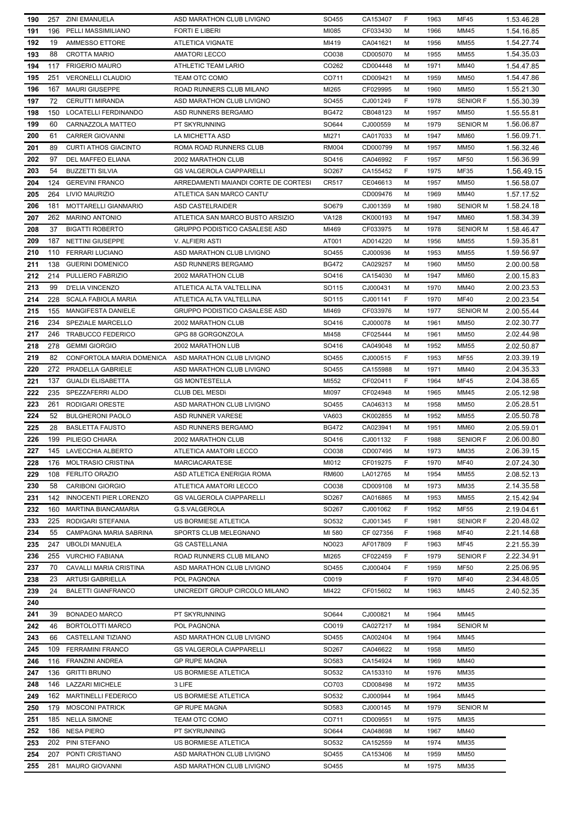| 190 |            | 257 ZINI EMANUELA                        | ASD MARATHON CLUB LIVIGNO                              | SO455             | CA153407  | F | 1963 | MF45                | 1.53.46.28  |
|-----|------------|------------------------------------------|--------------------------------------------------------|-------------------|-----------|---|------|---------------------|-------------|
| 191 | 196        | PELLI MASSIMILIANO                       | <b>FORTI E LIBERI</b>                                  | MI085             | CF033430  | м | 1966 | MM45                | 1.54.16.85  |
| 192 | 19         | AMMESSO ETTORE                           | <b>ATLETICA VIGNATE</b>                                | MI419             | CA041621  | M | 1956 | MM55                | 1.54.27.74  |
| 193 | 88         | <b>CROTTA MARIO</b>                      | <b>AMATORI LECCO</b>                                   | CO038             | CD005070  | M | 1955 | MM55                | 1.54.35.03  |
| 194 | 117        | <b>FRIGERIO MAURO</b>                    | ATHLETIC TEAM LARIO                                    | CO262             | CD004448  | M | 1971 | MM40                | 1.54.47.85  |
| 195 | 251        | <b>VERONELLI CLAUDIO</b>                 | TEAM OTC COMO                                          | CO711             | CD009421  | M | 1959 | <b>MM50</b>         | 1.54.47.86  |
| 196 | 167        | <b>MAURI GIUSEPPE</b>                    | ROAD RUNNERS CLUB MILANO                               | MI265             | CF029995  | M | 1960 | <b>MM50</b>         | 1.55.21.30  |
| 197 | 72         | CERUTTI MIRANDA                          | ASD MARATHON CLUB LIVIGNO                              | SO455             | CJ001249  | F | 1978 | <b>SENIOR F</b>     | 1.55.30.39  |
| 198 | 150        | LOCATELLI FERDINANDO                     | ASD RUNNERS BERGAMO                                    | <b>BG472</b>      | CB048123  | M | 1957 | <b>MM50</b>         | 1.55.55.81  |
| 199 | 60         | CARNAZZOLA MATTEO                        | PT SKYRUNNING                                          | SO644             | CJ000559  | M | 1979 | <b>SENIOR M</b>     | 1.56.06.87  |
|     | 61         | <b>CARRER GIOVANNI</b>                   | <b>LA MICHETTA ASD</b>                                 | MI271             | CA017033  | M | 1947 | <b>MM60</b>         |             |
| 200 |            |                                          |                                                        |                   |           |   |      |                     | 1.56.09.71. |
| 201 | 89         | <b>CURTI ATHOS GIACINTO</b>              | ROMA ROAD RUNNERS CLUB                                 | <b>RM004</b>      | CD000799  | M | 1957 | <b>MM50</b>         | 1.56.32.46  |
| 202 | 97         | DEL MAFFEO ELIANA                        | 2002 MARATHON CLUB                                     | SO416             | CA046992  | F | 1957 | <b>MF50</b>         | 1.56.36.99  |
| 203 | 54         | <b>BUZZETTI SILVIA</b>                   | <b>GS VALGEROLA CIAPPARELLI</b>                        | SO267             | CA155452  | F | 1975 | MF35                | 1.56.49.15  |
| 204 | 124        | <b>GEREVINI FRANCO</b>                   | ARREDAMENTI MAIANDI CORTE DE CORTESI                   | CR517             | CE046613  | M | 1957 | <b>MM50</b>         | 1.56.58.07  |
| 205 | 264        | LIVIO MAURIZIO                           | ATLETICA SAN MARCO CANTU'                              |                   | CD009476  | M | 1969 | MM40                | 1.57.17.52  |
| 206 | 181        | MOTTARELLI GIANMARIO                     | <b>ASD CASTELRAIDER</b>                                | SO679             | CJ001359  | M | 1980 | <b>SENIOR M</b>     | 1.58.24.18  |
| 207 | 262        | <b>MARINO ANTONIO</b>                    | ATLETICA SAN MARCO BUSTO ARSIZIO                       | <b>VA128</b>      | CK000193  | M | 1947 | MM60                | 1.58.34.39  |
| 208 | 37         | <b>BIGATTI ROBERTO</b>                   | GRUPPO PODISTICO CASALESE ASD                          | MI469             | CF033975  | M | 1978 | <b>SENIOR M</b>     | 1.58.46.47  |
| 209 | 187        | <b>NETTINI GIUSEPPE</b>                  | V. ALFIERI ASTI                                        | AT001             | AD014220  | м | 1956 | MM55                | 1.59.35.81  |
| 210 | 110        | <b>FERRARI LUCIANO</b>                   | ASD MARATHON CLUB LIVIGNO                              | SO455             | CJ000936  | м | 1953 | <b>MM55</b>         | 1.59.56.97  |
| 211 | 138        | <b>GUERINI DOMENICO</b>                  | ASD RUNNERS BERGAMO                                    | <b>BG472</b>      | CA029257  | м | 1960 | <b>MM50</b>         | 2.00.00.58  |
| 212 | 214        | PULLIERO FABRIZIO                        | 2002 MARATHON CLUB                                     | SO416             | CA154030  | M | 1947 | <b>MM60</b>         | 2.00.15.83  |
| 213 | 99         | <b>D'ELIA VINCENZO</b>                   | ATLETICA ALTA VALTELLINA                               | SO115             | CJ000431  | M | 1970 | MM40                | 2.00.23.53  |
| 214 | 228        | <b>SCALA FABIOLA MARIA</b>               | ATLETICA ALTA VALTELLINA                               | SO115             | CJ001141  | F | 1970 | <b>MF40</b>         | 2.00.23.54  |
| 215 | 155        | MANGIFESTA DANIELE                       | GRUPPO PODISTICO CASALESE ASD                          | MI469             | CF033976  | М | 1977 | <b>SENIOR M</b>     | 2.00.55.44  |
| 216 | 234        | SPEZIALE MARCELLO                        | 2002 MARATHON CLUB                                     | SO416             | CJ000078  | M | 1961 | <b>MM50</b>         | 2.02.30.77  |
| 217 | 246        | <b>TRABUCCO FEDERICO</b>                 | GPG 88 GORGONZOLA                                      | MI458             | CF025444  | M | 1961 | <b>MM50</b>         | 2.02.44.98  |
| 218 | 278        | <b>GEMMI GIORGIO</b>                     | 2002 MARATHON LUB                                      | SO416             | CA049048  | М | 1952 | MM55                | 2.02.50.87  |
| 219 | 82         | CONFORTOLA MARIA DOMENICA                | ASD MARATHON CLUB LIVIGNO                              | SO455             | CJ000515  | F | 1953 | <b>MF55</b>         | 2.03.39.19  |
| 220 | 272        | PRADELLA GABRIELE                        | ASD MARATHON CLUB LIVIGNO                              | SO455             | CA155988  | M | 1971 | MM40                | 2.04.35.33  |
| 221 | 137        | <b>GUALDI ELISABETTA</b>                 | <b>GS MONTESTELLA</b>                                  | MI552             | CF020411  | F | 1964 | <b>MF45</b>         | 2.04.38.65  |
| 222 | 235        | SPEZZAFERRI ALDO                         | <b>CLUB DEL MESDI</b>                                  | MI097             | CF024948  | M | 1965 | MM45                | 2.05.12.98  |
| 223 | 261        | RODIGARI ORESTE                          | ASD MARATHON CLUB LIVIGNO                              | SO455             | CA046313  | м | 1958 | <b>MM50</b>         | 2.05.28.51  |
| 224 | 52         | <b>BULGHERONI PAOLO</b>                  | <b>ASD RUNNER VARESE</b>                               | VA603             | CK002855  | M | 1952 | <b>MM55</b>         | 2.05.50.78  |
| 225 | 28         | <b>BASLETTA FAUSTO</b>                   | ASD RUNNERS BERGAMO                                    | <b>BG472</b>      | CA023941  | м | 1951 | <b>MM60</b>         | 2.05.59.01  |
| 226 | 199        | PILIEGO CHIARA                           | 2002 MARATHON CLUB                                     | SO416             | CJ001132  | F | 1988 | <b>SENIOR F</b>     | 2.06.00.80  |
| 227 |            | 145 LAVECCHIA ALBERTO                    | ATLETICA AMATORI LECCO                                 | CO038             | CD007495  | M | 1973 | MM35                | 2.06.39.15  |
| 228 |            | 176 MOLTRASIO CRISTINA                   | <b>MARCIACARATESE</b>                                  | MI012             | CF019275  | F | 1970 | <b>MF40</b>         | 2.07.24.30  |
| 229 | 108        | <b>FERLITO ORAZIO</b>                    | ASD ATLETICA ENERIGIA ROMA                             | <b>RM600</b>      | LA012765  | М | 1954 | MM55                | 2.08.52.13  |
| 230 | 58         | <b>CARIBONI GIORGIO</b>                  | ATLETICA AMATORI LECCO                                 | CO038             | CD009108  | М | 1973 | MM35                | 2.14.35.58  |
| 231 | 142        | <b>INNOCENTI PIER LORENZO</b>            | GS VALGEROLA CIAPPARELLI                               | SO267             | CA016865  | м | 1953 | MM55                | 2.15.42.94  |
| 232 | 160        | MARTINA BIANCAMARIA                      | G.S.VALGEROLA                                          | SO267             | CJ001062  | F | 1952 | <b>MF55</b>         | 2.19.04.61  |
| 233 | 225        | RODIGARI STEFANIA                        | US BORMIESE ATLETICA                                   | SO532             | CJ001345  | F | 1981 | <b>SENIOR F</b>     | 2.20.48.02  |
| 234 | 55         | CAMPAGNA MARIA SABRINA                   | SPORTS CLUB MELEGNANO                                  | MI 580            | CF 027356 | F | 1968 | <b>MF40</b>         | 2.21.14.68  |
| 235 | 247        | <b>UBOLDI MANUELA</b>                    | GS CASTELLANIA                                         | <b>NO023</b>      | AF017809  | F | 1963 | MF45                | 2.21.55.39  |
| 236 | 255        | <b>VURCHIO FABIANA</b>                   | ROAD RUNNERS CLUB MILANO                               | MI265             | CF022459  | F | 1979 | <b>SENIOR F</b>     | 2.22.34.91  |
| 237 | 70         | CAVALLI MARIA CRISTINA                   | ASD MARATHON CLUB LIVIGNO                              | SO455             | CJ000404  | F | 1959 | <b>MF50</b>         | 2.25.06.95  |
| 238 | 23         | <b>ARTUSI GABRIELLA</b>                  | POL PAGNONA                                            | C0019             |           | F | 1970 | <b>MF40</b>         | 2.34.48.05  |
| 239 | 24         | <b>BALETTI GIANFRANCO</b>                | UNICREDIT GROUP CIRCOLO MILANO                         | MI422             | CF015602  | м | 1963 | MM45                | 2.40.52.35  |
| 240 |            |                                          |                                                        |                   |           |   |      |                     |             |
| 241 | 39         | <b>BONADEO MARCO</b>                     | PT SKYRUNNING                                          | SO644             | CJ000821  | M | 1964 | MM45                |             |
| 242 | 46         | BORTOLOTTI MARCO                         | POL PAGNONA                                            | CO019             | CA027217  | М | 1984 | <b>SENIOR M</b>     |             |
| 243 | 66         | CASTELLANI TIZIANO                       | ASD MARATHON CLUB LIVIGNO                              | SO455             | CA002404  | М | 1964 | <b>MM45</b>         |             |
| 245 | 109        | FERRAMINI FRANCO                         | <b>GS VALGEROLA CIAPPARELLI</b>                        | SO <sub>267</sub> | CA046622  | м | 1958 | <b>MM50</b>         |             |
| 246 | 116        | FRANZINI ANDREA                          | <b>GP RUPE MAGNA</b>                                   | SO583             | CA154924  | м | 1969 | MM40                |             |
| 247 | 136        | <b>GRITTI BRUNO</b>                      | US BORMIESE ATLETICA                                   | SO532             | CA153310  | м | 1976 | MM35                |             |
| 248 | 146        | LAZZARI MICHELE                          | 3 LIFE                                                 | CO703             | CD008498  | м | 1972 | MM35                |             |
| 249 | 162        | <b>MARTINELLI FEDERICO</b>               | US BORMIESE ATLETICA                                   | SO532             | CJ000944  | м | 1964 | MM45                |             |
| 250 | 179        | <b>MOSCONI PATRICK</b>                   | <b>GP RUPE MAGNA</b>                                   | SO583             | CJ000145  | м | 1979 | <b>SENIOR M</b>     |             |
| 251 | 185        | NELLA SIMONE                             | TEAM OTC COMO                                          | CO711             | CD009551  | м | 1975 | MM35                |             |
|     |            | NESA PIERO                               | PT SKYRUNNING                                          | SO644             | CA048698  | м | 1967 | MM40                |             |
| 252 | 186<br>202 |                                          |                                                        |                   |           |   | 1974 |                     |             |
| 253 |            | PINI STEFANO                             | US BORMIESE ATLETICA                                   | SO532             | CA152559  | м |      | MM35                |             |
| 254 | 207<br>281 | PONTI CRISTIANO<br><b>MAURO GIOVANNI</b> | ASD MARATHON CLUB LIVIGNO<br>ASD MARATHON CLUB LIVIGNO | SO455<br>SO455    | CA153406  | м | 1959 | <b>MM50</b><br>MM35 |             |
| 255 |            |                                          |                                                        |                   |           | м | 1975 |                     |             |